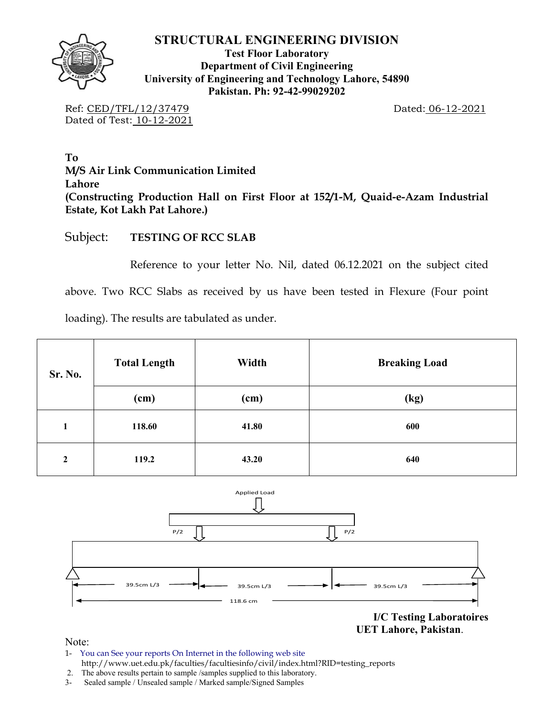

**Test Floor Laboratory Department of Civil Engineering University of Engineering and Technology Lahore, 54890 Pakistan. Ph: 92-42-99029202** 

Ref: CED/TFL/12/37479 Dated: 06-12-2021 Dated of Test: 10-12-2021

**To M/S Air Link Communication Limited Lahore (Constructing Production Hall on First Floor at 152/1-M, Quaid-e-Azam Industrial Estate, Kot Lakh Pat Lahore.)** 

Subject: **TESTING OF RCC SLAB** 

Reference to your letter No. Nil, dated 06.12.2021 on the subject cited

above. Two RCC Slabs as received by us have been tested in Flexure (Four point

loading). The results are tabulated as under.

| Sr. No.        | <b>Total Length</b> | Width | <b>Breaking Load</b> |
|----------------|---------------------|-------|----------------------|
|                | (cm)                | (cm)  | (kg)                 |
| 1              | 118.60              | 41.80 | 600                  |
| $\overline{2}$ | 119.2               | 43.20 | 640                  |



**I/C Testing Laboratoires UET Lahore, Pakistan**.

Note:

- 1- You can See your reports On Internet in the following web site http://www.uet.edu.pk/faculties/facultiesinfo/civil/index.html?RID=testing\_reports
- 2. The above results pertain to sample /samples supplied to this laboratory.
- 3- Sealed sample / Unsealed sample / Marked sample/Signed Samples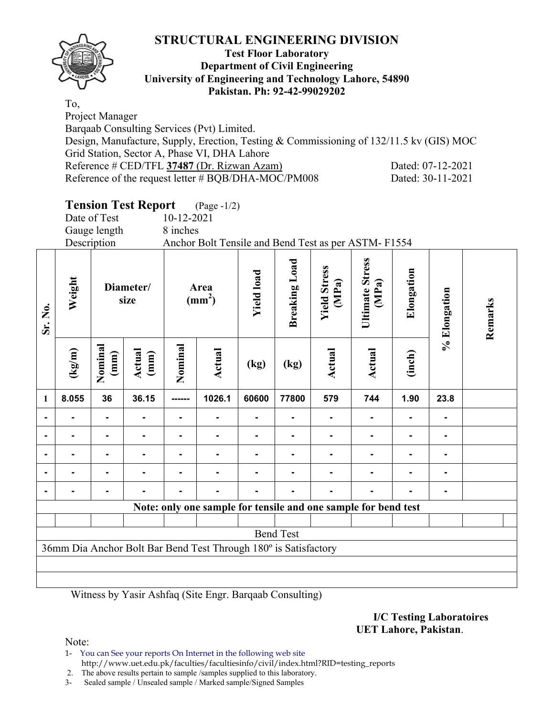

### **Test Floor Laboratory Department of Civil Engineering University of Engineering and Technology Lahore, 54890 Pakistan. Ph: 92-42-99029202**

To, Project Manager Barqaab Consulting Services (Pvt) Limited. Design, Manufacture, Supply, Erection, Testing & Commissioning of 132/11.5 kv (GIS) MOC Grid Station, Sector A, Phase VI, DHA Lahore Reference # CED/TFL **37487** (Dr. Rizwan Azam) Dated: 07-12-2021 Reference of the request letter # BQB/DHA-MOC/PM008 Dated: 30-11-2021

# **Tension Test Report** (Page -1/2)

|                |                 | Date of Test<br>Gauge length<br>Description |                   | 10-12-2021<br>8 inches  | Anchor Bolt Tensile and Bend Test as per ASTM-F1554             |                   |                  |                              |                          |                |                |         |
|----------------|-----------------|---------------------------------------------|-------------------|-------------------------|-----------------------------------------------------------------|-------------------|------------------|------------------------------|--------------------------|----------------|----------------|---------|
| Sr. No.        | Weight          |                                             | Diameter/<br>size | Area<br>$\text{(mm}^2)$ |                                                                 | <b>Yield load</b> |                  | <b>Yield Stress</b><br>(MPa) | Ultimate Stress<br>(MPa) | Elongation     | % Elongation   | Remarks |
|                | $(\text{kg/m})$ | Nominal<br>$(\text{mm})$                    | Actual<br>(mm)    | Nominal                 | Actual                                                          | (kg)              | (kg)             | <b>Actual</b>                | Actual                   | (inch)         |                |         |
| $\mathbf{1}$   | 8.055           | 36                                          | 36.15             | ------                  | 1026.1                                                          | 60600             | 77800            | 579                          | 744                      | 1.90           | 23.8           |         |
| $\blacksquare$ |                 |                                             |                   |                         |                                                                 |                   |                  |                              |                          |                |                |         |
| $\blacksquare$ |                 |                                             |                   |                         |                                                                 |                   |                  |                              |                          |                | Ξ.             |         |
| $\blacksquare$ |                 |                                             |                   |                         |                                                                 |                   |                  |                              |                          | $\blacksquare$ | $\blacksquare$ |         |
| $\blacksquare$ |                 |                                             |                   |                         |                                                                 |                   |                  |                              |                          |                |                |         |
|                |                 |                                             |                   |                         |                                                                 |                   |                  |                              |                          |                |                |         |
|                |                 |                                             |                   |                         | Note: only one sample for tensile and one sample for bend test  |                   |                  |                              |                          |                |                |         |
|                |                 |                                             |                   |                         |                                                                 |                   | <b>Bend Test</b> |                              |                          |                |                |         |
|                |                 |                                             |                   |                         | 36mm Dia Anchor Bolt Bar Bend Test Through 180° is Satisfactory |                   |                  |                              |                          |                |                |         |
|                |                 |                                             |                   |                         |                                                                 |                   |                  |                              |                          |                |                |         |

Witness by Yasir Ashfaq (Site Engr. Barqaab Consulting)

**I/C Testing Laboratoires UET Lahore, Pakistan**.

Note:

1- You can See your reports On Internet in the following web site http://www.uet.edu.pk/faculties/facultiesinfo/civil/index.html?RID=testing\_reports

2. The above results pertain to sample /samples supplied to this laboratory.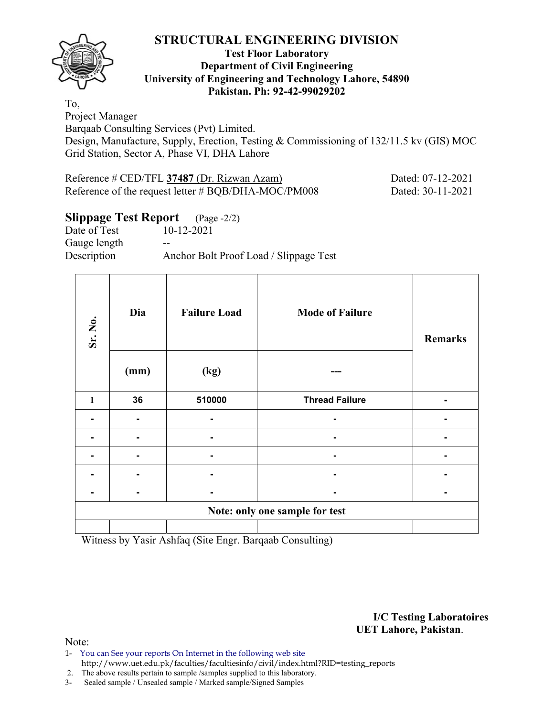

#### **Test Floor Laboratory Department of Civil Engineering University of Engineering and Technology Lahore, 54890 Pakistan. Ph: 92-42-99029202**

To, Project Manager Barqaab Consulting Services (Pvt) Limited. Design, Manufacture, Supply, Erection, Testing & Commissioning of 132/11.5 kv (GIS) MOC Grid Station, Sector A, Phase VI, DHA Lahore

| Reference # CED/TFL 37487 (Dr. Rizwan Azam)         | Dated: 07-12-2021 |
|-----------------------------------------------------|-------------------|
| Reference of the request letter # BQB/DHA-MOC/PM008 | Dated: 30-11-2021 |

# **Slippage Test Report** (Page -2/2)

Date of Test 10-12-2021 Gauge length --Description Anchor Bolt Proof Load / Slippage Test

| Sr. No.      | Dia<br>(mm) | <b>Failure Load</b><br>(kg) | <b>Mode of Failure</b>         | <b>Remarks</b> |
|--------------|-------------|-----------------------------|--------------------------------|----------------|
| $\mathbf{1}$ | 36          | 510000                      | <b>Thread Failure</b>          |                |
|              |             |                             |                                |                |
|              |             |                             |                                |                |
|              |             | $\blacksquare$              |                                |                |
|              |             |                             |                                |                |
|              |             |                             |                                |                |
|              |             |                             | Note: only one sample for test |                |
|              |             |                             |                                |                |

Witness by Yasir Ashfaq (Site Engr. Barqaab Consulting)

**I/C Testing Laboratoires UET Lahore, Pakistan**.

Note:

- 1- You can See your reports On Internet in the following web site http://www.uet.edu.pk/faculties/facultiesinfo/civil/index.html?RID=testing\_reports
- 2. The above results pertain to sample /samples supplied to this laboratory.
- 3- Sealed sample / Unsealed sample / Marked sample/Signed Samples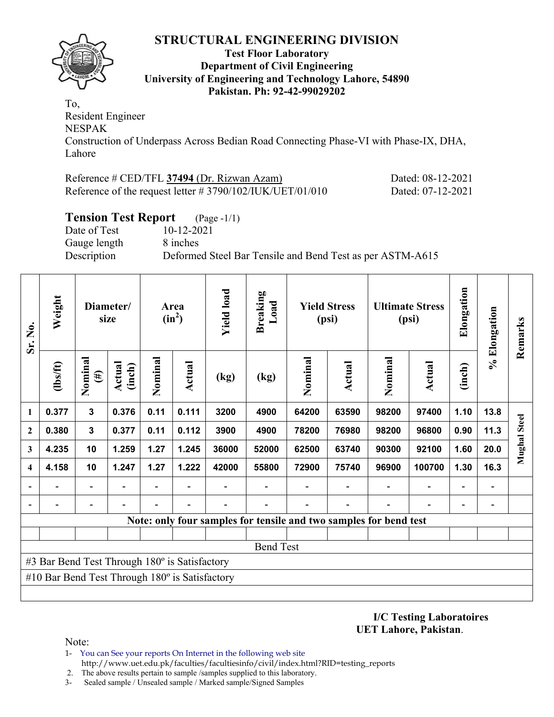

#### **Test Floor Laboratory Department of Civil Engineering University of Engineering and Technology Lahore, 54890 Pakistan. Ph: 92-42-99029202**

To, Resident Engineer NESPAK Construction of Underpass Across Bedian Road Connecting Phase-VI with Phase-IX, DHA, Lahore

| Reference # CED/TFL 37494 (Dr. Rizwan Azam)                  | Dated: 08-12-2021 |
|--------------------------------------------------------------|-------------------|
| Reference of the request letter $\# 3790/102/IUK/UET/01/010$ | Dated: 07-12-2021 |

# **Tension Test Report** (Page -1/1)

Date of Test 10-12-2021 Gauge length 8 inches

Description Deformed Steel Bar Tensile and Bend Test as per ASTM-A615

| Sr. No.                 | Weight                                                |                          | Diameter/<br>size |         | Area<br>$(in^2)$ | <b>Yield load</b> | <b>Breaking</b><br>$\mathbf{L}\mathbf{0}\mathbf{a}\mathbf{d}$     |         | <b>Yield Stress</b><br>(psi) | <b>Ultimate Stress</b><br>(psi) |                          | Elongation               | % Elongation                 | Remarks             |
|-------------------------|-------------------------------------------------------|--------------------------|-------------------|---------|------------------|-------------------|-------------------------------------------------------------------|---------|------------------------------|---------------------------------|--------------------------|--------------------------|------------------------------|---------------------|
|                         | $\frac{2}{10}$                                        | Nominal<br>$(\#)$        | Actual<br>(inch)  | Nominal | <b>Actual</b>    | (kg)              | (kg)                                                              | Nominal | <b>Actual</b>                | Nominal                         | <b>Actual</b>            | (inch)                   |                              |                     |
| 1                       | 0.377                                                 | $\mathbf{3}$             | 0.376             | 0.11    | 0.111            | 3200              | 4900                                                              | 64200   | 63590                        | 98200                           | 97400                    | 1.10                     | 13.8                         |                     |
| $\mathbf{2}$            | 0.380                                                 | $\mathbf{3}$             | 0.377             | 0.11    | 0.112            | 3900              | 4900                                                              | 78200   | 76980                        | 98200                           | 96800                    | 0.90                     | 11.3                         | <b>Mughal Steel</b> |
| 3                       | 4.235                                                 | 10                       | 1.259             | 1.27    | 1.245            | 36000             | 52000                                                             | 62500   | 63740                        | 90300                           | 92100                    | 1.60                     | 20.0                         |                     |
| $\overline{\mathbf{4}}$ | 4.158                                                 | 10                       | 1.247             | 1.27    | 1.222            | 42000             | 55800                                                             | 72900   | 75740                        | 96900                           | 100700                   | 1.30                     | 16.3                         |                     |
|                         |                                                       | Ξ.                       |                   | -       |                  |                   |                                                                   |         |                              |                                 | $\overline{\phantom{0}}$ | $\overline{\phantom{0}}$ | $\qquad \qquad \blacksquare$ |                     |
|                         |                                                       | $\overline{\phantom{0}}$ |                   |         | $\blacksquare$   |                   |                                                                   |         |                              |                                 |                          | $\overline{\phantom{0}}$ |                              |                     |
|                         |                                                       |                          |                   |         |                  |                   | Note: only four samples for tensile and two samples for bend test |         |                              |                                 |                          |                          |                              |                     |
|                         |                                                       |                          |                   |         |                  |                   |                                                                   |         |                              |                                 |                          |                          |                              |                     |
|                         |                                                       |                          |                   |         |                  |                   | <b>Bend Test</b>                                                  |         |                              |                                 |                          |                          |                              |                     |
|                         | #3 Bar Bend Test Through 180° is Satisfactory         |                          |                   |         |                  |                   |                                                                   |         |                              |                                 |                          |                          |                              |                     |
|                         | #10 Bar Bend Test Through $180^\circ$ is Satisfactory |                          |                   |         |                  |                   |                                                                   |         |                              |                                 |                          |                          |                              |                     |
|                         |                                                       |                          |                   |         |                  |                   |                                                                   |         |                              |                                 |                          |                          |                              |                     |

**I/C Testing Laboratoires UET Lahore, Pakistan**.

Note:

1- You can See your reports On Internet in the following web site http://www.uet.edu.pk/faculties/facultiesinfo/civil/index.html?RID=testing\_reports

2. The above results pertain to sample /samples supplied to this laboratory.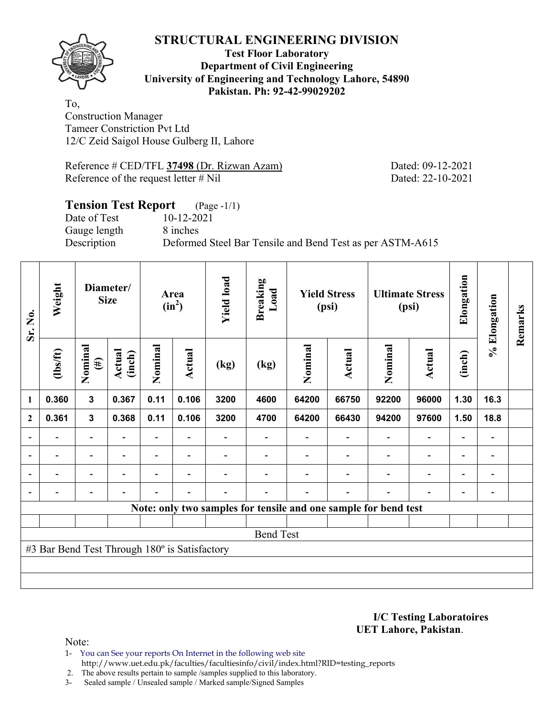

#### **Test Floor Laboratory Department of Civil Engineering University of Engineering and Technology Lahore, 54890 Pakistan. Ph: 92-42-99029202**

To, Construction Manager Tameer Constriction Pvt Ltd 12/C Zeid Saigol House Gulberg II, Lahore

Reference # CED/TFL **37498** (Dr. Rizwan Azam) Dated: 09-12-2021 Reference of the request letter # Nil Dated: 22-10-2021

# **Tension Test Report** (Page -1/1) Date of Test 10-12-2021 Gauge length 8 inches Description Deformed Steel Bar Tensile and Bend Test as per ASTM-A615

| Sr. No.                  | Weight                                        |                         | Diameter/<br><b>Size</b> |                | Area<br>$(in^2)$         | <b>Yield load</b> | <b>Breaking</b><br>Load | <b>Yield Stress</b><br>(psi) |                          | <b>Ultimate Stress</b><br>(psi)                                 |                          | Elongation               | % Elongation                 | Remarks |
|--------------------------|-----------------------------------------------|-------------------------|--------------------------|----------------|--------------------------|-------------------|-------------------------|------------------------------|--------------------------|-----------------------------------------------------------------|--------------------------|--------------------------|------------------------------|---------|
|                          | $\frac{2}{10}$                                | Nominal<br>$(\#)$       | Actual<br>(inch)         | Nominal        | Actual                   | (kg)              | (kg)                    | Nominal                      | Actual                   | Nominal                                                         | <b>Actual</b>            | (inch)                   |                              |         |
| 1                        | 0.360                                         | $\overline{\mathbf{3}}$ | 0.367                    | 0.11           | 0.106                    | 3200              | 4600                    | 64200                        | 66750                    | 92200                                                           | 96000                    | 1.30                     | 16.3                         |         |
| $\mathbf{2}$             | 0.361                                         | $\mathbf{3}$            | 0.368                    | 0.11           | 0.106                    | 3200              | 4700                    | 64200                        | 66430                    | 94200                                                           | 97600                    | 1.50                     | 18.8                         |         |
|                          |                                               | $\overline{a}$          |                          |                |                          |                   |                         |                              |                          |                                                                 | $\overline{a}$           | $\overline{\phantom{0}}$ |                              |         |
| $\overline{\phantom{a}}$ | $\overline{\phantom{0}}$                      | $\blacksquare$          | $\blacksquare$           |                | $\blacksquare$           |                   |                         |                              |                          | $\overline{\phantom{a}}$                                        | $\overline{\phantom{a}}$ | $\overline{\phantom{a}}$ | $\blacksquare$               |         |
| $\blacksquare$           | Ξ.                                            | Ξ.                      | $\blacksquare$           | $\blacksquare$ | $\overline{\phantom{a}}$ |                   |                         |                              |                          | ۰                                                               | $\overline{\phantom{0}}$ | $\overline{\phantom{0}}$ | $\blacksquare$               |         |
|                          |                                               | -                       |                          |                | $\blacksquare$           | -                 |                         |                              | $\overline{\phantom{0}}$ | $\overline{\phantom{0}}$                                        | $\overline{a}$           | -                        | $\qquad \qquad \blacksquare$ |         |
|                          |                                               |                         |                          |                |                          |                   |                         |                              |                          | Note: only two samples for tensile and one sample for bend test |                          |                          |                              |         |
|                          |                                               |                         |                          |                |                          |                   |                         |                              |                          |                                                                 |                          |                          |                              |         |
|                          |                                               |                         |                          |                |                          |                   | <b>Bend Test</b>        |                              |                          |                                                                 |                          |                          |                              |         |
|                          | #3 Bar Bend Test Through 180° is Satisfactory |                         |                          |                |                          |                   |                         |                              |                          |                                                                 |                          |                          |                              |         |
|                          |                                               |                         |                          |                |                          |                   |                         |                              |                          |                                                                 |                          |                          |                              |         |
|                          |                                               |                         |                          |                |                          |                   |                         |                              |                          |                                                                 |                          |                          |                              |         |

**I/C Testing Laboratoires UET Lahore, Pakistan**.

Note:

1- You can See your reports On Internet in the following web site http://www.uet.edu.pk/faculties/facultiesinfo/civil/index.html?RID=testing\_reports

2. The above results pertain to sample /samples supplied to this laboratory.